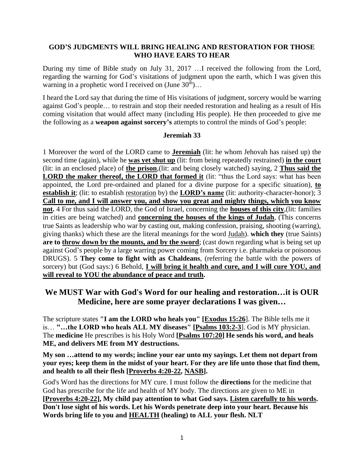#### **GOD'S JUDGMENTS WILL BRING HEALING AND RESTORATION FOR THOSE WHO HAVE EARS TO HEAR**

During my time of Bible study on July 31, 2017 …I received the following from the Lord, regarding the warning for God's visitations of judgment upon the earth, which I was given this warning in a prophetic word I received on  $\text{June } 30^{\text{th}}$ ...

I heard the Lord say that during the time of His visitations of judgment, sorcery would be warring against God's people… to restrain and stop their needed restoration and healing as a result of His coming visitation that would affect many (including His people). He then proceeded to give me the following as a **weapon against sorcery's** attempts to control the minds of God's people:

#### **Jeremiah 33**

1 Moreover the word of the LORD came to **Jeremiah** (lit: he whom Jehovah has raised up) the second time (again), while he **was yet shut up** (lit: from being repeatedly restrained) **in the court** (lit: in an enclosed place) of **the prison**,(lit: and being closely watched) saying, 2 **Thus said the LORD the maker thereof, the LORD that formed it** (lit: "thus the Lord says: what has been appointed, the Lord pre-ordained and planed for a divine purpose for a specific situation), **to establish it**; (lit: to establish restoration by) the **LORD's name** (lit: authority-character-honor); 3 **Call to me, and I will answer you, and show you great and mighty things, which you know not.** 4 For thus said the LORD, the God of Israel, concerning the **houses of this city**,(lit: families in cities are being watched) and **concerning the houses of the kings of Judah**, (This concerns true Saints as leadership who war by casting out, making confession, praising, shooting (warring), giving thanks) which these are the literal meanings for the word Judah). **which they** (true Saints) are to throw down by the mounts, and by the sword; (cast down regarding what is being set up against God's people by a large warring power coming from Sorcery i.e. pharmakeia or poisonous DRUGS). 5 **They come to fight with as Chaldeans**, (referring the battle with the powers of sorcery) but (God says:) 6 Behold, **I will bring it health and cure, and I will cure YOU, and will reveal to YOU the abundance of peace and truth.** 

## **We MUST War with God's Word for our healing and restoration…it is OUR Medicine, here are some prayer declarations I was given…**

The scripture states **"I am the LORD who heals you" [\[Exodus 15:26](http://www.blueletterbible.org/Bible.cfm?b=Exd&c=15&v=26&t=KJV)**]. The Bible tells me it is… **"…the LORD who heals ALL MY diseases" [\[Psalms 103:2-3](http://www.blueletterbible.org/Bible.cfm?b=Psa&c=103&v=2&t=KJV)**]. God is MY physician. The **medicine** He prescribes is his Holy Word **[\[Psalms 107:20\]](http://www.blueletterbible.org/Bible.cfm?b=Psa&c=107&v=20&t=KJV) He sends his word, and heals ME, and delivers ME from MY destructions.**

**My son …attend to my words; incline your ear unto my sayings. Let them not depart from your eyes; keep them in the midst of your heart. For they are life unto those that find them, and health to all their flesh [\[Proverbs 4:20-22,](http://www.blueletterbible.org/Bible.cfm?b=Pro&c=4&v=20&t=KJV) [NASB\]](http://www.biblegateway.com/passage/?search=Proverbs%204:20-22;&version=49;).**

God's Word has the directions for MY cure. I must follow the **directions** for the medicine that God has prescribe for the life and health of MY body. The directions are given to ME in **[\[Proverbs 4:20-22\]](http://www.biblegateway.com/passage/?search=Proverbs%204:20-22;&version=51;), My child pay attention to what God says. Listen carefully to his words. Don't lose sight of his words. Let his Words penetrate deep into your heart. Because his Words bring life to you and HEALTH (healing) to ALL your flesh. NLT**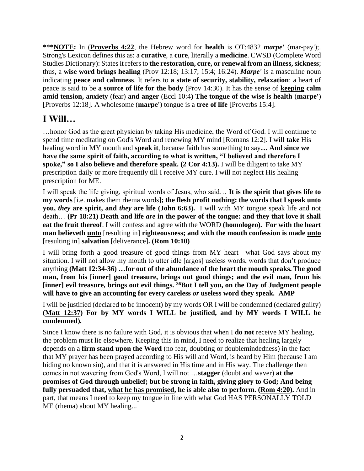**\*\*\*NOTE:** In (**[Proverbs 4:22](http://www.blueletterbible.org/kjv/Pro/Pro004.html)**, the Hebrew word for **health** is OT:4832 *marpe'* (mar-pay');. Strong's Lexicon defines this as: a **curative**, a **cure**, literally a **medicine**. CWSD (Complete Word Studies Dictionary): States it refers to **the restoration, cure, or renewal from an illness, sickness**; thus, a **wise word brings healing** (Prov 12:18; 13:17; 15:4; 16:24). *Marpe'* is a masculine noun indicating **peace and calmness**. It refers to **a state of security, stability, relaxation**: a heart of peace is said to be **a source of life for the body** (Prov 14:30). It has the sense of **keeping calm amid tension, anxiety** (fear) **and anger** (Eccl 10:4**) The tongue of the wise is health** (**marpe'**) [\[Proverbs 12:18\]](http://www.blueletterbible.org/Bible.cfm?b=Pro&c=12&v=18&t=KJV). A wholesome (**marpe'**) tongue is a **tree of life** [\[Proverbs 15:4\]](http://www.blueletterbible.org/Bible.cfm?b=Pro&c=15&v=4&t=KJV).

# **I Will…**

…honor God as the great physician by taking His medicine, the Word of God. I will continue to spend time meditating on God's Word and renewing MY mind [\[Romans 12:2\]](http://www.biblegateway.com/passage/?search=Romans%2012:2;&version=50;). I will **take** His healing word in MY mouth and **speak it**, because faith has something to say**… And since we have the same spirit of faith, according to what is written, "I believed and therefore I spoke," so I also believe and therefore speak. (2 Cor 4:13).** I will be diligent to take MY prescription daily or more frequently till I receive MY cure. I will not neglect His healing prescription for ME.

I will speak the life giving, spiritual words of Jesus, who said… **It is the spirit that gives life to my words** [i.e. makes them rhema words]**; the flesh profit nothing: the words that I speak unto you,** *they* **are spirit, and** *they* **are life [\(John](http://www.blueletterbible.org/Bible.cfm?b=Jhn&c=6&v=63&t=KJV) [6:63\)](http://www.blueletterbible.org/Bible.cfm?b=Jhn&c=6&v=63&t=KJV).** I will with MY tongue speak life and not death… **(Pr 18:21) Death and life** *are* **in the power of the tongue: and they that love it shall eat the fruit thereof**. I will confess and agree with the WORD **(homologeo). For with the heart man believeth unto** [resulting in] **righteousness; and with the mouth confession is made unto** [resulting in] **salvation** [deliverance]**. (Rom 10:10)**

I will bring forth a good treasure of good things from MY heart—what God says about my situation. I will not allow my mouth to utter idle [argos] useless words, words that don't produce anything **(Matt 12:34-36)** *…***for out of the abundance of the heart the mouth speaks.The good man, from his [inner] good treasure, brings out good things; and the evil man, from his [inner] evil treasure, brings out evil things. <sup>36</sup>But I tell you, on the Day of Judgment people will have to give an accounting for every careless** *or* **useless word they speak***.* **[AMP](http://www.biblegateway.com/passage/?search=Matthew%2012:34-37&version=AMP)**

I will be justified (declared to be innocent) by my words OR I will be condemned (declared guilty) **[\(Matt](http://www.blueletterbible.org/Bible.cfm?b=Mat&c=12&v=37&t=KJV) [12:37\)](http://www.blueletterbible.org/Bible.cfm?b=Mat&c=12&v=37&t=KJV) For by MY words I WILL be justified, and by MY words I WILL be condemned)***.* 

Since I know there is no failure with God, it is obvious that when I **do not** receive MY healing, the problem must lie elsewhere. Keeping this in mind, I need to realize that healing largely depends on a **firm stand upon the Word** (no fear, doubting or doublemindedness) in the fact that MY prayer has been prayed according to His will and Word, is heard by Him (because I am hiding no known sin), and that it is answered in His time and in His way. The challenge then comes in not wavering from God's Word, I will not …**stagger** (doubt and waver) **at the promises of God through unbelief; but be strong in faith, giving glory to God; And being fully persuaded that, what he has promised, he is able also to perform. [\(Rom 4:20\)](http://www.blueletterbible.org/Bible.cfm?b=Rom&c=4&v=1&t=KJV).** And in part, that means I need to keep my tongue in line with what God HAS PERSONALLY TOLD ME (rhema) about MY healing...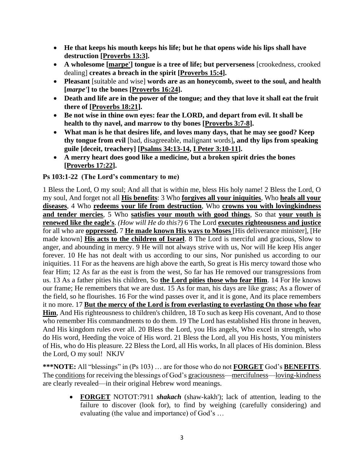- **He that keeps his mouth keeps his life; but he that opens wide his lips shall have destruction [\[Proverbs 13:3\]](http://www.blueletterbible.org/Bible.cfm?b=Pro&c=13&v=3&t=KJV).**
- **A wholesome [marpe'] tongue is a tree of life; but perverseness** [crookedness, crooked dealing] **creates a breach in the spirit [\[Proverbs 15:4\]](http://www.blueletterbible.org/Bible.cfm?b=Pro&c=15&v=4&t=KJV).**
- **Pleasant** [suitable and wise] **words are as an honeycomb, sweet to the soul, and health [***marpe'***] to the bones [\[Proverbs 16:24\]](http://www.blueletterbible.org/Bible.cfm?b=Pro&c=16&v=24&t=KJV).**
- **Death and life are in the power of the tongue; and they that love it shall eat the fruit there of [\[Proverbs 18:21\]](http://www.blueletterbible.org/Bible.cfm?b=Pro&c=18&v=21&t=KJV).**
- **Be not wise in thine own eyes: fear the LORD, and depart from evil. It shall be health to thy navel, and marrow to thy bones [\[Proverbs 3:7-8\]](http://www.blueletterbible.org/Bible.cfm?b=Pro&c=3&v=7&t=KJV).**
- **What man is he that desires life, and loves many days, that he may see good? Keep thy tongue from evil** [bad, disagreeable, malignant words]**, and thy lips from speaking guile [deceit, treachery] [\[Psalms 34:13-14,](http://www.blueletterbible.org/Bible.cfm?b=Psa&c=34&v=13&t=KJV) [I Peter 3:10-11\]](http://www.blueletterbible.org/Bible.cfm?b=1Pe&c=3&v=10&t=KJV).**
- **A merry heart does good like a medicine, but a broken spirit dries the bones [\[Proverbs 17:22\]](http://www.blueletterbible.org/Bible.cfm?b=Pro&c=17&v=22&t=KJV).**

### **Ps 103:1-22 (The Lord's commentary to me)**

1 Bless the Lord, O my soul; And all that is within me, bless His holy name! 2 Bless the Lord, O my soul, And forget not all **His benefits**: 3 Who **forgives all your iniquities**, Who **heals all your diseases**, 4 Who **redeems your life from destruction**, Who **crowns you with lovingkindness and tender mercies**, 5 Who **satisfies your mouth with good things**, So that **your youth is renewed like the eagle's**. *(How will He do this?)* 6 The Lord **executes righteousness and justice** for all who are **oppressed.** 7 **He made known His ways to Moses** [His deliverance minister], [He made known] **His acts to the children of Israel**. 8 The Lord is merciful and gracious, Slow to anger, and abounding in mercy. 9 He will not always strive with us, Nor will He keep His anger forever. 10 He has not dealt with us according to our sins, Nor punished us according to our iniquities. 11 For as the heavens are high above the earth, So great is His mercy toward those who fear Him; 12 As far as the east is from the west, So far has He removed our transgressions from us. 13 As a father pities his children, So **the Lord pities those who fear Him**. 14 For He knows our frame; He remembers that we are dust. 15 As for man, his days are like grass; As a flower of the field, so he flourishes. 16 For the wind passes over it, and it is gone, And its place remembers it no more. 17 **But the mercy of the Lord is from everlasting to everlasting On those who fear Him**, And His righteousness to children's children, 18 To such as keep His covenant, And to those who remember His commandments to do them. 19 The Lord has established His throne in heaven, And His kingdom rules over all. 20 Bless the Lord, you His angels, Who excel in strength, who do His word, Heeding the voice of His word. 21 Bless the Lord, all you His hosts, You ministers of His, who do His pleasure. 22 Bless the Lord, all His works, In all places of His dominion. Bless the Lord, O my soul! NKJV

**\*\*\*NOTE:** All "blessings" in (Ps 103) … are for those who do not **FORGET** God's **BENEFITS**. The conditions for receiving the blessings of God's graciousness—mercifulness—loving-kindness are clearly revealed—in their original Hebrew word meanings.

• **FORGET** NOTOT:7911 *shakach* (shaw-kakh'); lack of attention, leading to the failure to discover (look for), to find by weighing (carefully considering) and evaluating (the value and importance) of God's …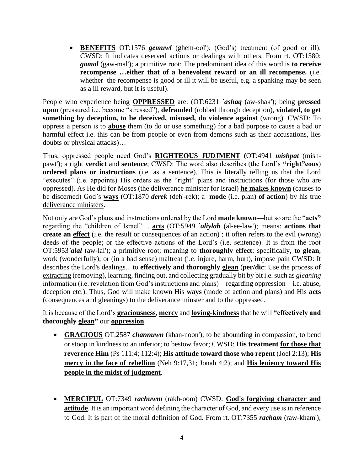• **BENEFITS** OT:1576 *gemuwl* (ghem-ool'); (God's) treatment (of good or ill). CWSD: It indicates deserved actions or dealings with others. From rt. OT:1580; *gamal* (gaw-mal'); a primitive root; The predominant idea of this word is **to receive recompense …either that of a benevolent reward or an ill recompense.** (i.e. whether the recompense is good or ill it will be useful, e.g. a spanking may be seen as a ill reward, but it is useful).

People who experience being **OPPRESSED** are: (OT:6231 *`ashaq* (aw-shak'); being **pressed upon** (pressured i.e. become "stressed"), **defrauded** (robbed through deception), **violated, to get something by deception, to be deceived, misused, do violence against** (wrong). CWSD: To oppress a person is to **abuse** them (to do or use something) for a bad purpose to cause a bad or harmful effect i.e. this can be from people or even from demons such as their accusations, lies doubts or physical attacks)…

Thus, oppressed people need God's **RIGHTEOUS JUDJMENT (**OT:4941 *mishpat* (mishpawt'); a right **verdict** and **sentence**; CWSD: The word also describes (the Lord's **"right"eous**) **ordered plans or instructions** (i.e. as a sentence). This is literally telling us that the Lord "executes" (i.e. appoints) His orders as the "right" plans and instructions (for those who are oppressed). As He did for Moses (the deliverance minister for Israel) **he makes known** (causes to be discerned) God's **ways** (OT:1870 *derek* (deh'-rek); a **mode** (i.e. plan) **of action**) by his true deliverance ministers.

Not only are God's plans and instructions ordered by the Lord **made known—**but so are the "**acts"**  regarding the "children of Israel" …**acts** (OT:5949 *`aliylah* (al-ee-law'); means: **actions that create an effect** (i.e. the result or consequences of an action) ; it often refers to the evil (wrong) deeds of the people; or the effective actions of the Lord's (i.e. sentence). It is from the root OT:5953*`alal* (aw-lal'); a primitive root; meaning to **thoroughly effect**; specifically, **to glean**, work (wonderfully); or (in a bad sense) maltreat (i.e. injure, harm, hurt), impose pain CWSD: It describes the Lord's dealings... to **effectively and thoroughly glean** (**per/dic**: Use the process of extracting (removing), learning, finding out, and collecting gradually bit by bit i.e. such as *gleaning* information (i.e. revelation from God's instructions and plans)—regarding oppression—i.e. abuse, deception etc.). Thus, God will make known His **ways** (mode of action and plans) and His **acts** (consequences and gleanings) to the deliverance minster and to the oppressed.

It is because of the Lord's **graciousness**, **mercy** and **loving-kindness** that he will **"effectively and thoroughly glean"** our **oppression**.

- **GRACIOUS** OT:2587 *channuwn* (khan-noon'); to be abounding in compassion, to bend or stoop in kindness to an inferior; to bestow favor; CWSD: **His treatment for those that reverence Him** (Ps 111:4; 112:4); **His attitude toward those who repent** (Joel 2:13); **His mercy in the face of rebellion** (Neh 9:17,31; Jonah 4:2); and **His leniency toward His people in the midst of judgment**.
- **MERCIFUL** OT:7349 *rachuwm* (rakh-oom) CWSD: **God's forgiving character and attitude**. It is an important word defining the character of God, and every use is in reference to God. It is part of the moral definition of God. From rt. OT:7355 *racham* (raw-kham');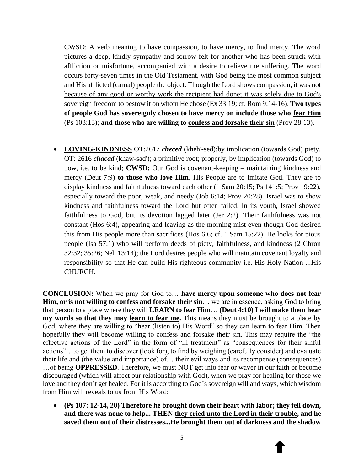CWSD: A verb meaning to have compassion, to have mercy, to find mercy. The word pictures a deep, kindly sympathy and sorrow felt for another who has been struck with affliction or misfortune, accompanied with a desire to relieve the suffering. The word occurs forty-seven times in the Old Testament, with God being the most common subject and His afflicted (carnal) people the object. Though the Lord shows compassion, it was not because of any good or worthy work the recipient had done; it was solely due to God's sovereign freedom to bestow it on whom He chose (Ex 33:19; cf. Rom 9:14-16). **Two types of people God has sovereignly chosen to have mercy on include those who fear Him** (Ps 103:13); **and those who are willing to confess and forsake their sin** (Prov 28:13).

• **LOVING-KINDNESS** OT:2617 *checed* (kheh'-sed);by implication (towards God) piety. OT: 2616 *chacad* (khaw-sad'); a primitive root; properly, by implication (towards God) to bow, i.e. to be kind; **CWSD:** Our God is covenant-keeping – maintaining kindness and mercy (Deut 7:9) **to those who love Him**. His People are to imitate God. They are to display kindness and faithfulness toward each other (1 Sam 20:15; Ps 141:5; Prov 19:22), especially toward the poor, weak, and needy (Job 6:14; Prov 20:28). Israel was to show kindness and faithfulness toward the Lord but often failed. In its youth, Israel showed faithfulness to God, but its devotion lagged later (Jer 2:2). Their faithfulness was not constant (Hos 6:4), appearing and leaving as the morning mist even though God desired this from His people more than sacrifices (Hos 6:6; cf. 1 Sam 15:22). He looks for pious people (Isa 57:1) who will perform deeds of piety, faithfulness, and kindness (2 Chron 32:32; 35:26; Neh 13:14); the Lord desires people who will maintain covenant loyalty and responsibility so that He can build His righteous community i.e. His Holy Nation ...His CHURCH.

**CONCLUSION:** When we pray for God to… **have mercy upon someone who does not fear Him, or is not willing to confess and forsake their sin**… we are in essence, asking God to bring that person to a place where they will **LEARN to fear Him**… **(Deut 4:10) I will make them hear my words so that they may learn to fear me.** This means they must be brought to a place by God, where they are willing to "hear (listen to) His Word" so they can learn to fear Him. Then hopefully they will become willing to confess and forsake their sin. This may require the "the effective actions of the Lord" in the form of "ill treatment" as "consequences for their sinful actions"…to get them to discover (look for), to find by weighing (carefully consider) and evaluate their life and (the value and importance) of… their evil ways and its recompense (consequences) …of being **OPPRESSED**. Therefore, we must NOT get into fear or waver in our faith or become discouraged (which will affect our relationship with God), when we pray for healing for those we love and they don't get healed. For it is according to God's sovereign will and ways, which wisdom from Him will reveals to us from His Word:

• **(Ps 107: 12-14, 20) Therefore he brought down their heart with labor; they fell down, and there was none to help... THEN they cried unto the Lord in their trouble, and he saved them out of their distresses...He brought them out of darkness and the shadow**